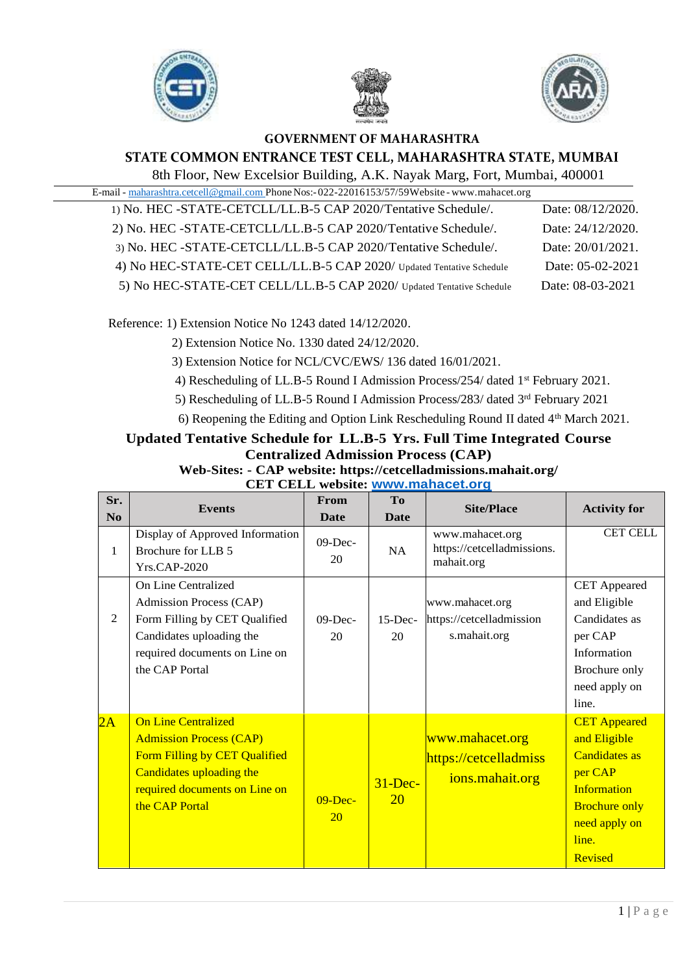





## **GOVERNMENT OF MAHARASHTRA STATE COMMON ENTRANCE TEST CELL, MAHARASHTRA STATE, MUMBAI**

8th Floor, New Excelsior Building, A.K. Nayak Marg, Fort, Mumbai, 400001

| E-mail - maharashtra.cetcell@gmail.com Phone Nos:-022-22016153/57/59Website - www.mahacet.org |
|-----------------------------------------------------------------------------------------------|
| 1) No. HEC -STATE-CETCLL/LL.B-5 CAP 2020/Tentative Schedule/.<br>Date: 08/12/2020.            |
| 2) No. HEC -STATE-CETCLL/LL.B-5 CAP 2020/Tentative Schedule/.<br>Date: 24/12/2020.            |
| 3) No. HEC -STATE-CETCLL/LL.B-5 CAP 2020/Tentative Schedule/.<br>Date: 20/01/2021.            |
| 4) No HEC-STATE-CET CELL/LL.B-5 CAP 2020/ Updated Tentative Schedule<br>Date: 05-02-2021      |
| 5) No HEC-STATE-CET CELL/LL.B-5 CAP 2020/ Updated Tentative Schedule<br>Date: 08-03-2021      |
|                                                                                               |

Reference: 1) Extension Notice No 1243 dated 14/12/2020.

2) Extension Notice No. 1330 dated 24/12/2020.

3) Extension Notice for NCL/CVC/EWS/ 136 dated 16/01/2021.

4) Rescheduling of LL.B-5 Round I Admission Process/254/ dated 1st February 2021.

5) Rescheduling of LL.B-5 Round I Admission Process/283/ dated 3<sup>rd</sup> February 2021

6) Reopening the Editing and Option Link Rescheduling Round II dated 4th March 2021.

## **Updated Tentative Schedule for LL.B-5 Yrs. Full Time Integrated Course Centralized Admission Process (CAP)**

**Web-Sites: - CAP website: https://cetcelladmissions.mahait.org/ CET CELL website: [www.mahacet.org](http://www.mahacet.org/)**

| Sr.            | <b>Events</b>                                                                                                                                                                | From                   | T <sub>0</sub>          | <b>Site/Place</b>                                           |                                                                                                                                                                  |
|----------------|------------------------------------------------------------------------------------------------------------------------------------------------------------------------------|------------------------|-------------------------|-------------------------------------------------------------|------------------------------------------------------------------------------------------------------------------------------------------------------------------|
| N <sub>0</sub> |                                                                                                                                                                              | <b>Date</b>            | <b>Date</b>             |                                                             | <b>Activity for</b>                                                                                                                                              |
| 1              | Display of Approved Information<br>Brochure for LLB 5<br><b>Yrs.CAP-2020</b>                                                                                                 | $09$ -Dec-<br>20       | NA                      | www.mahacet.org<br>https://cetcelladmissions.<br>mahait.org | <b>CET CELL</b>                                                                                                                                                  |
| $\overline{2}$ | On Line Centralized<br>Admission Process (CAP)<br>Form Filling by CET Qualified<br>Candidates uploading the<br>required documents on Line on<br>the CAP Portal               | $09-Dec-$<br>20        | $15$ -Dec-<br>20        | www.mahacet.org<br>https://cetcelladmission<br>s.mahait.org | <b>CET</b> Appeared<br>and Eligible<br>Candidates as<br>per CAP<br>Information<br>Brochure only<br>need apply on<br>line.                                        |
| 2A             | <b>On Line Centralized</b><br><b>Admission Process (CAP)</b><br>Form Filling by CET Qualified<br>Candidates uploading the<br>required documents on Line on<br>the CAP Portal | $09-Dec-$<br><b>20</b> | $31$ -Dec-<br><b>20</b> | www.mahacet.org<br>https://cetcelladmiss<br>ions.mahait.org | <b>CET</b> Appeared<br>and Eligible<br><b>Candidates as</b><br>per CAP<br><b>Information</b><br><b>Brochure only</b><br>need apply on<br>line.<br><b>Revised</b> |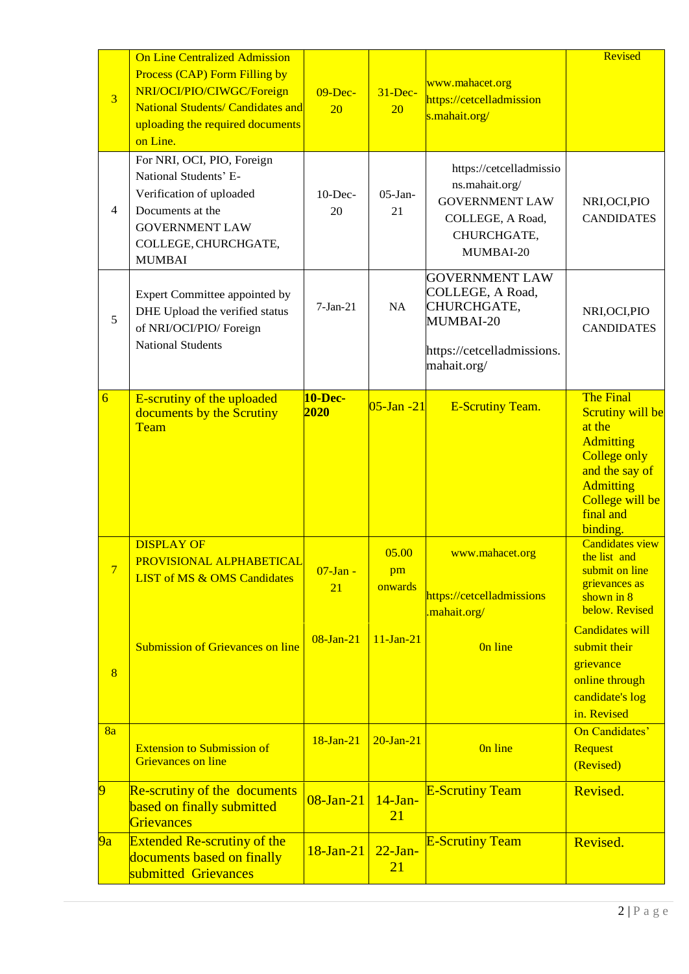| $\overline{3}$ | <b>On Line Centralized Admission</b><br>Process (CAP) Form Filling by<br>NRI/OCI/PIO/CIWGC/Foreign<br><b>National Students/ Candidates and</b><br>uploading the required documents<br>on Line. | $09-Dec-$<br>20        | $31 - Dec-$<br>20      | www.mahacet.org<br>https://cetcelladmission<br>s.mahait.org/                                                       | Revised                                                                                                                                                                            |
|----------------|------------------------------------------------------------------------------------------------------------------------------------------------------------------------------------------------|------------------------|------------------------|--------------------------------------------------------------------------------------------------------------------|------------------------------------------------------------------------------------------------------------------------------------------------------------------------------------|
| $\overline{4}$ | For NRI, OCI, PIO, Foreign<br>National Students' E-<br>Verification of uploaded<br>Documents at the<br><b>GOVERNMENT LAW</b><br>COLLEGE, CHURCHGATE,<br><b>MUMBAI</b>                          | $10$ -Dec-<br>20       | $05$ -Jan-<br>21       | https://cetcelladmissio<br>ns.mahait.org/<br><b>GOVERNMENT LAW</b><br>COLLEGE, A Road,<br>CHURCHGATE,<br>MUMBAI-20 | NRI, OCI, PIO<br><b>CANDIDATES</b>                                                                                                                                                 |
| 5              | Expert Committee appointed by<br>DHE Upload the verified status<br>of NRI/OCI/PIO/ Foreign<br><b>National Students</b>                                                                         | $7-Jan-21$             | NA                     | <b>GOVERNMENT LAW</b><br>COLLEGE, A Road,<br>CHURCHGATE,<br>MUMBAI-20<br>https://cetcelladmissions.<br>mahait.org/ | NRI, OCI, PIO<br><b>CANDIDATES</b>                                                                                                                                                 |
| $\overline{6}$ | E-scrutiny of the uploaded<br>documents by the Scrutiny<br>Team                                                                                                                                | <b>10-Dec-</b><br>2020 | $05$ -Jan -21          | <b>E-Scrutiny Team.</b>                                                                                            | <b>The Final</b><br><b>Scrutiny will be</b><br>at the<br><b>Admitting</b><br><b>College only</b><br>and the say of<br><b>Admitting</b><br>College will be<br>final and<br>binding. |
| 7              | <b>DISPLAY OF</b><br>PROVISIONAL ALPHABETICAL<br><b>LIST of MS &amp; OMS Candidates</b>                                                                                                        | $07$ -Jan -<br>21      | 05.00<br>pm<br>onwards | www.mahacet.org<br>https://cetcelladmissions<br>mahait.org/                                                        | <b>Candidates view</b><br>the list and<br>submit on line<br>grievances as<br>shown in 8<br>below. Revised                                                                          |
| $\overline{8}$ | <b>Submission of Grievances on line</b>                                                                                                                                                        | $08$ -Jan- $21$        | $11-Jan-21$            | On line                                                                                                            | <b>Candidates will</b><br>submit their<br>grievance<br>online through<br>candidate's log<br>in. Revised                                                                            |
| 8a             | <b>Extension to Submission of</b><br><b>Grievances on line</b>                                                                                                                                 | $18-Jan-21$            | $20-Ian-21$            | On line                                                                                                            | On Candidates'<br><b>Request</b><br>(Revised)                                                                                                                                      |
| 9              | <b>Re-scrutiny of the documents</b><br>based on finally submitted<br>Grievances                                                                                                                | $08$ -Jan- $21$        | $14$ -Jan-<br>21       | <b>E-Scrutiny Team</b>                                                                                             | Revised.                                                                                                                                                                           |
| 9a             | <b>Extended Re-scrutiny of the</b><br>documents based on finally<br>submitted Grievances                                                                                                       | 18-Jan-21              | $22-Ian-$<br>21        | <b>E-Scrutiny Team</b>                                                                                             | Revised.                                                                                                                                                                           |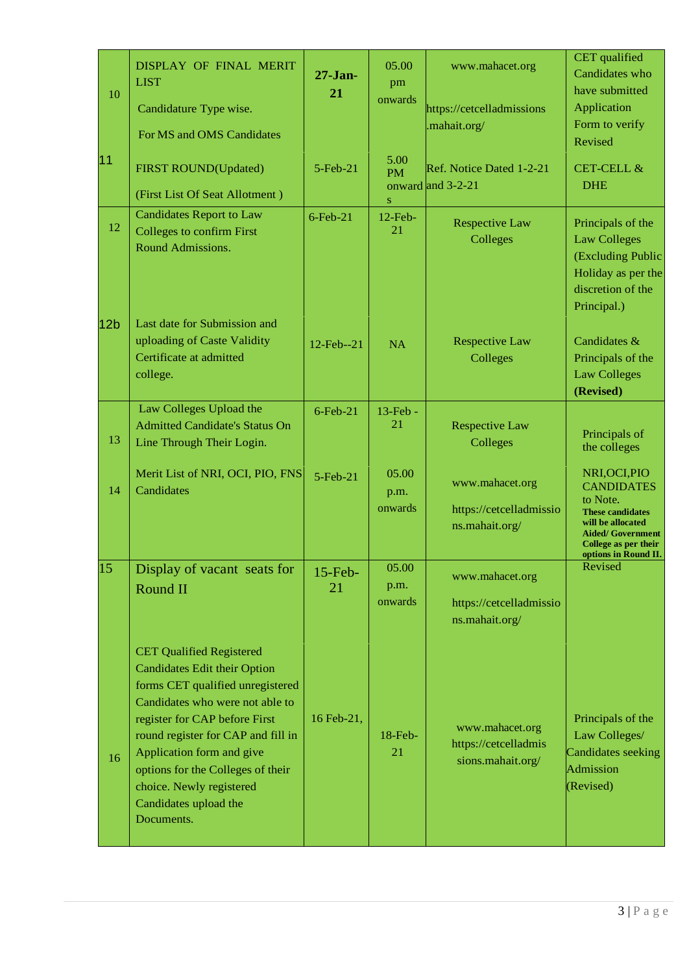| 10              | DISPLAY OF FINAL MERIT<br><b>LIST</b><br>Candidature Type wise.<br>For MS and OMS Candidates                                                                                                                                                                                                                                                              | $27 - Jan-$<br>21     | 05.00<br>pm<br>onwards         | www.mahacet.org<br>https://cetcelladmissions<br>.mahait.org/ | CET qualified<br>Candidates who<br>have submitted<br>Application<br>Form to verify<br>Revised                                                                              |
|-----------------|-----------------------------------------------------------------------------------------------------------------------------------------------------------------------------------------------------------------------------------------------------------------------------------------------------------------------------------------------------------|-----------------------|--------------------------------|--------------------------------------------------------------|----------------------------------------------------------------------------------------------------------------------------------------------------------------------------|
| 11              | <b>FIRST ROUND(Updated)</b><br>(First List Of Seat Allotment)                                                                                                                                                                                                                                                                                             | $5$ -Feb $-21$        | 5.00<br><b>PM</b><br>${\bf S}$ | Ref. Notice Dated 1-2-21<br>onward and 3-2-21                | <b>CET-CELL &amp;</b><br><b>DHE</b>                                                                                                                                        |
| 12              | <b>Candidates Report to Law</b><br><b>Colleges to confirm First</b><br>Round Admissions.                                                                                                                                                                                                                                                                  | $6$ -Feb-21           | $12$ -Feb-<br>21               | <b>Respective Law</b><br>Colleges                            | Principals of the<br><b>Law Colleges</b><br>(Excluding Public<br>Holiday as per the<br>discretion of the<br>Principal.)                                                    |
| 12 <sub>b</sub> | Last date for Submission and<br>uploading of Caste Validity<br>Certificate at admitted<br>college.                                                                                                                                                                                                                                                        | 12-Feb--21            | <b>NA</b>                      | <b>Respective Law</b><br>Colleges                            | Candidates &<br>Principals of the<br><b>Law Colleges</b><br>(Revised)                                                                                                      |
| 13              | Law Colleges Upload the<br><b>Admitted Candidate's Status On</b><br>Line Through Their Login.                                                                                                                                                                                                                                                             | $6$ -Feb-21           | $13$ -Feb -<br>21              | <b>Respective Law</b><br>Colleges                            | Principals of<br>the colleges                                                                                                                                              |
| 14              | Merit List of NRI, OCI, PIO, FNS<br>Candidates                                                                                                                                                                                                                                                                                                            | $5 - \text{Feb} - 21$ | 05.00<br>p.m.<br>onwards       | www.mahacet.org<br>https://cetcelladmissio<br>ns.mahait.org/ | NRI, OCI, PIO<br><b>CANDIDATES</b><br>to Note.<br><b>These candidates</b><br>will be allocated<br><b>Aided/ Government</b><br>College as per their<br>options in Round II. |
| 15              | Display of vacant seats for<br>Round II                                                                                                                                                                                                                                                                                                                   | $15$ -Feb-<br>21      | 05.00<br>p.m.<br>onwards       | www.mahacet.org<br>https://cetcelladmissio<br>ns.mahait.org/ | Revised                                                                                                                                                                    |
| 16              | <b>CET Qualified Registered</b><br><b>Candidates Edit their Option</b><br>forms CET qualified unregistered<br>Candidates who were not able to<br>register for CAP before First<br>round register for CAP and fill in<br>Application form and give<br>options for the Colleges of their<br>choice. Newly registered<br>Candidates upload the<br>Documents. | 16 Feb-21,            | 18-Feb-<br>21                  | www.mahacet.org<br>https://cetcelladmis<br>sions.mahait.org/ | Principals of the<br>Law Colleges/<br>Candidates seeking<br>Admission<br>(Revised)                                                                                         |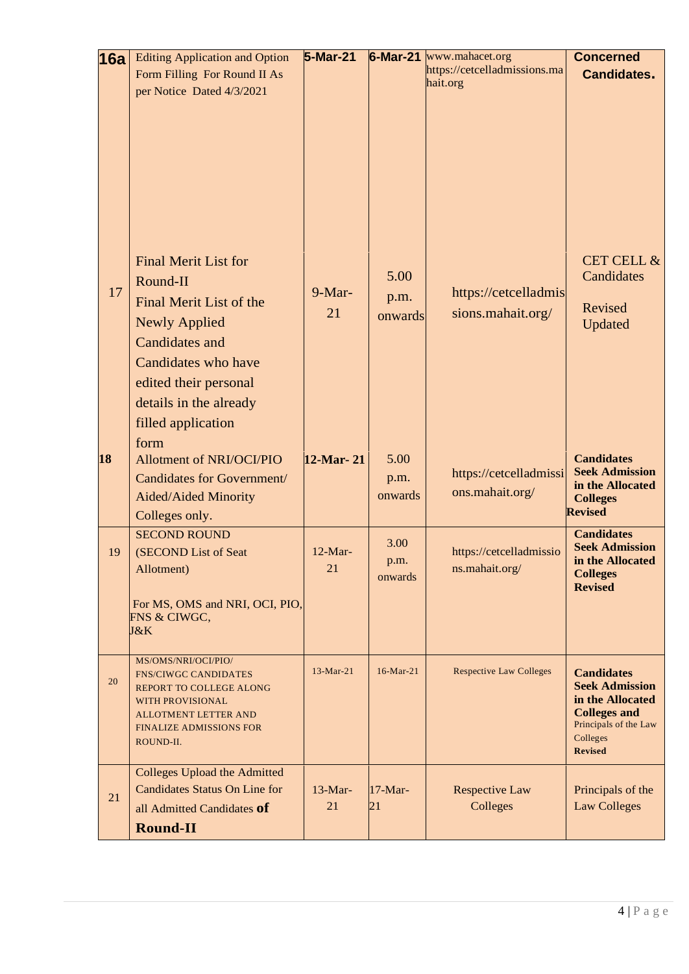| 16a | <b>Editing Application and Option</b><br>Form Filling For Round II As<br>per Notice Dated 4/3/2021                                                                                                                          | 5-Mar-21        |                         | $6$ -Mar-21 www.mahacet.org<br>https://cetcelladmissions.ma<br>hait.org | <b>Concerned</b><br><b>Candidates.</b>                                                                                                       |
|-----|-----------------------------------------------------------------------------------------------------------------------------------------------------------------------------------------------------------------------------|-----------------|-------------------------|-------------------------------------------------------------------------|----------------------------------------------------------------------------------------------------------------------------------------------|
| 17  | <b>Final Merit List for</b><br>Round-II<br>Final Merit List of the<br><b>Newly Applied</b><br><b>Candidates and</b><br>Candidates who have<br>edited their personal<br>details in the already<br>filled application<br>form | $9-Mar-$<br>21  | 5.00<br>p.m.<br>onwards | https://cetcelladmis<br>sions.mahait.org/                               | <b>CET CELL &amp;</b><br>Candidates<br>Revised<br>Updated                                                                                    |
| 18  | Allotment of NRI/OCI/PIO<br><b>Candidates for Government/</b><br>Aided/Aided Minority<br>Colleges only.                                                                                                                     | 12-Mar-21       | 5.00<br>p.m.<br>onwards | https://cetcelladmissi<br>ons.mahait.org/                               | <b>Candidates</b><br><b>Seek Admission</b><br>in the Allocated<br><b>Colleges</b><br><b>Revised</b>                                          |
| 19  | <b>SECOND ROUND</b><br>(SECOND List of Seat<br>Allotment)<br>For MS, OMS and NRI, OCI, PIO,<br>FNS & CIWGC,<br>J&K                                                                                                          | $12-Mar-$<br>21 | 3.00<br>p.m.<br>onwards | https://cetcelladmissio<br>ns.mahait.org/                               | <b>Candidates</b><br><b>Seek Admission</b><br>in the Allocated<br><b>Colleges</b><br><b>Revised</b>                                          |
| 20  | MS/OMS/NRI/OCI/PIO/<br><b>FNS/CIWGC CANDIDATES</b><br>REPORT TO COLLEGE ALONG<br><b>WITH PROVISIONAL</b><br><b>ALLOTMENT LETTER AND</b><br><b>FINALIZE ADMISSIONS FOR</b><br>ROUND-II.                                      | $13-Mar-21$     | $16$ -Mar-21            | <b>Respective Law Colleges</b>                                          | <b>Candidates</b><br><b>Seek Admission</b><br>in the Allocated<br><b>Colleges and</b><br>Principals of the Law<br>Colleges<br><b>Revised</b> |
| 21  | <b>Colleges Upload the Admitted</b><br><b>Candidates Status On Line for</b><br>all Admitted Candidates of<br><b>Round-II</b>                                                                                                | $13-Mar-$<br>21 | $17-Mar-$<br>21         | <b>Respective Law</b><br>Colleges                                       | Principals of the<br><b>Law Colleges</b>                                                                                                     |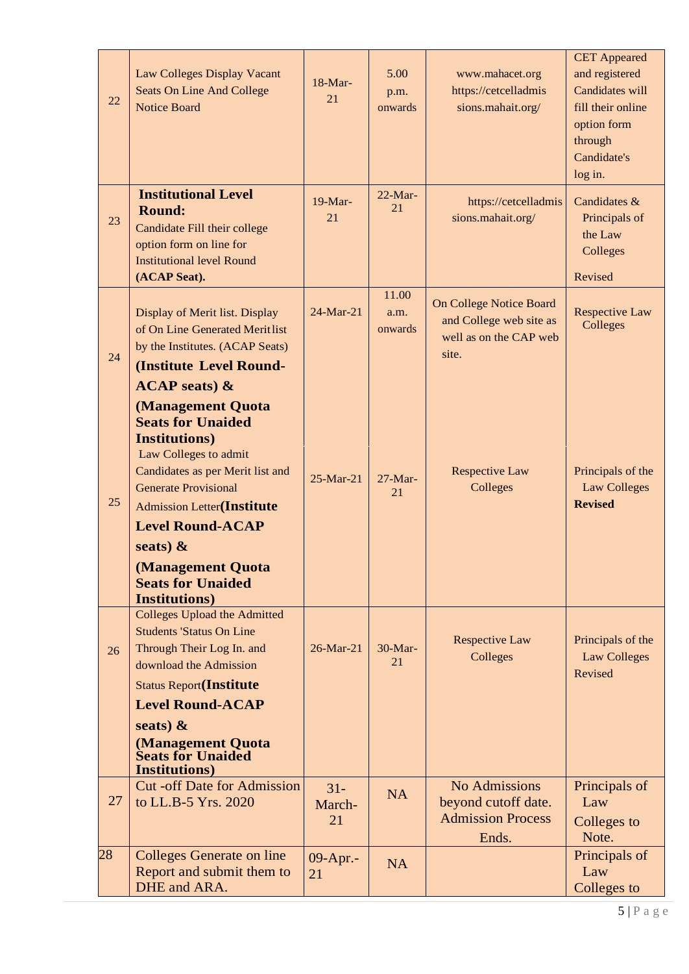| 22 | <b>Law Colleges Display Vacant</b><br>Seats On Line And College<br><b>Notice Board</b>                                                                                                                                                                                              | $18-Mar-$<br>21        | 5.00<br>p.m.<br>onwards  | www.mahacet.org<br>https://cetcelladmis<br>sions.mahait.org/                                 | <b>CET</b> Appeared<br>and registered<br>Candidates will<br>fill their online<br>option form<br>through<br>Candidate's<br>log in. |
|----|-------------------------------------------------------------------------------------------------------------------------------------------------------------------------------------------------------------------------------------------------------------------------------------|------------------------|--------------------------|----------------------------------------------------------------------------------------------|-----------------------------------------------------------------------------------------------------------------------------------|
| 23 | <b>Institutional Level</b><br><b>Round:</b><br>Candidate Fill their college<br>option form on line for<br><b>Institutional level Round</b><br>(ACAP Seat).                                                                                                                          | $19-Mar-$<br>21        | $22-Mar-$<br>21          | https://cetcelladmis<br>sions.mahait.org/                                                    | Candidates &<br>Principals of<br>the Law<br>Colleges<br>Revised                                                                   |
| 24 | Display of Merit list. Display<br>of On Line Generated Merit list<br>by the Institutes. (ACAP Seats)<br>(Institute Level Round-<br>$ACAP$ seats) &<br>(Management Quota<br><b>Seats for Unaided</b><br><b>Institutions</b> )                                                        | 24-Mar-21              | 11.00<br>a.m.<br>onwards | <b>On College Notice Board</b><br>and College web site as<br>well as on the CAP web<br>site. | <b>Respective Law</b><br>Colleges                                                                                                 |
| 25 | Law Colleges to admit<br>Candidates as per Merit list and<br><b>Generate Provisional</b><br><b>Admission Letter(Institute</b><br><b>Level Round-ACAP</b><br>seats) $\&$<br>(Management Quota<br><b>Seats for Unaided</b><br><b>Institutions</b> )                                   | 25-Mar-21              | $27-Mar-$<br>21          | <b>Respective Law</b><br>Colleges                                                            | Principals of the<br><b>Law Colleges</b><br><b>Revised</b>                                                                        |
| 26 | <b>Colleges Upload the Admitted</b><br><b>Students 'Status On Line</b><br>Through Their Log In. and<br>download the Admission<br><b>Status Report(Institute</b><br><b>Level Round-ACAP</b><br>seats) $\&$<br>(Management Quota<br><b>Seats for Unaided</b><br><b>Institutions</b> ) | 26-Mar-21              | $30-Mar-$<br>21          | <b>Respective Law</b><br>Colleges                                                            | Principals of the<br><b>Law Colleges</b><br>Revised                                                                               |
| 27 | <b>Cut-off Date for Admission</b><br>to LL.B-5 Yrs. 2020                                                                                                                                                                                                                            | $31 -$<br>March-<br>21 | <b>NA</b>                | No Admissions<br>beyond cutoff date.<br><b>Admission Process</b><br>Ends.                    | Principals of<br>Law<br>Colleges to<br>Note.                                                                                      |
| 28 | <b>Colleges Generate on line</b><br>Report and submit them to<br>DHE and ARA.                                                                                                                                                                                                       | 09-Apr.-<br>21         | <b>NA</b>                |                                                                                              | Principals of<br>Law<br>Colleges to                                                                                               |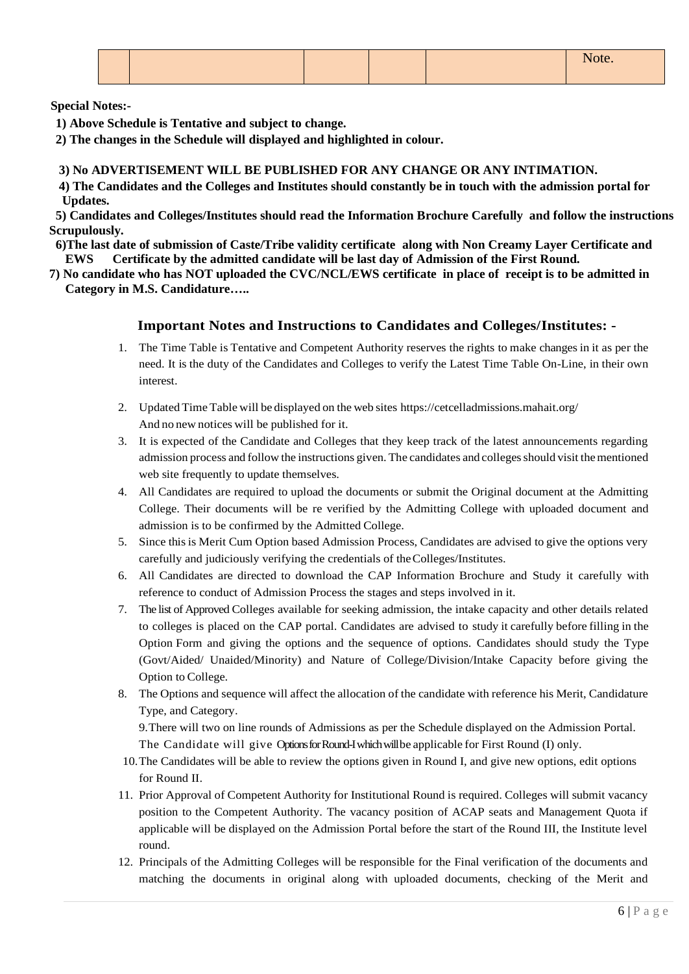**Special Notes:-**

- **1) Above Schedule is Tentative and subject to change.**
- **2) The changes in the Schedule will displayed and highlighted in colour.**

## **3) No ADVERTISEMENT WILL BE PUBLISHED FOR ANY CHANGE OR ANY INTIMATION.**

 **4) The Candidates and the Colleges and Institutes should constantly be in touch with the admission portal for Updates.**

 **5) Candidates and Colleges/Institutes should read the Information Brochure Carefully and follow the instructions Scrupulously.**

 **6)The last date of submission of Caste/Tribe validity certificate along with Non Creamy Layer Certificate and EWS Certificate by the admitted candidate will be last day of Admission of the First Round.**

**7) No candidate who has NOT uploaded the CVC/NCL/EWS certificate in place of receipt is to be admitted in Category in M.S. Candidature…..**

## **Important Notes and Instructions to Candidates and Colleges/Institutes: -**

- 1. The Time Table is Tentative and Competent Authority reserves the rights to make changes in it as per the need. It is the duty of the Candidates and Colleges to verify the Latest Time Table On-Line, in their own interest.
- 2. Updated Time Table will be displayed on the web sites https://cetcelladmissions.mahait.org/ And no new notices will be published for it.
- 3. It is expected of the Candidate and Colleges that they keep track of the latest announcements regarding admission process and follow the instructions given. The candidates and colleges should visit the mentioned web site frequently to update themselves.
- 4. All Candidates are required to upload the documents or submit the Original document at the Admitting College. Their documents will be re verified by the Admitting College with uploaded document and admission is to be confirmed by the Admitted College.
- 5. Since this is Merit Cum Option based Admission Process, Candidates are advised to give the options very carefully and judiciously verifying the credentials of theColleges/Institutes.
- 6. All Candidates are directed to download the CAP Information Brochure and Study it carefully with reference to conduct of Admission Process the stages and steps involved in it.
- 7. The list of Approved Colleges available for seeking admission, the intake capacity and other details related to colleges is placed on the CAP portal. Candidates are advised to study it carefully before filling in the Option Form and giving the options and the sequence of options. Candidates should study the Type (Govt/Aided/ Unaided/Minority) and Nature of College/Division/Intake Capacity before giving the Option to College.
- 8. The Options and sequence will affect the allocation of the candidate with reference his Merit, Candidature Type, and Category.

9.There will two on line rounds of Admissions as per the Schedule displayed on the Admission Portal. The Candidate will give OptionsforRound-Iwhich willbe applicable for First Round (I) only.

- 10.The Candidates will be able to review the options given in Round I, and give new options, edit options for Round II.
- 11. Prior Approval of Competent Authority for Institutional Round is required. Colleges will submit vacancy position to the Competent Authority. The vacancy position of ACAP seats and Management Quota if applicable will be displayed on the Admission Portal before the start of the Round III, the Institute level round.
- 12. Principals of the Admitting Colleges will be responsible for the Final verification of the documents and matching the documents in original along with uploaded documents, checking of the Merit and